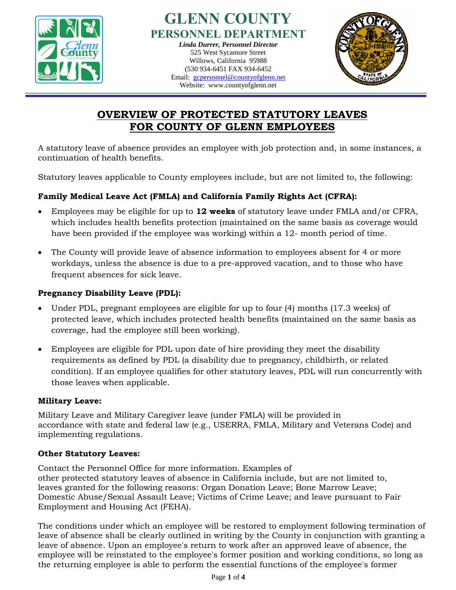

#### **GLENN COUNTY PERSONNEL DEPARTMENT** *Linda Durrer, Personnel Director* 525 West Sycamore Street Willows, California 95988 (530 934-6451 FAX 934-6452 Email: [gcpersonnel@countyofglenn.net](mailto:gcpersonnel@countyofglenn.net) Willows, California 95988<br>
(530 934-6451 FAX 934-6452<br>
Email: <u>gcpersonnel@countyofglenn.net</u><br>
Website: www.countyofglenn.net

Website: www.countyofglenn.net



# **OVERVIEW OF PROTECTED STATUTORY LEAVES FOR COUNTY OF GLENN EMPLOYEES**

A statutory leave of absence provides an employee with job protection and, in some instances, a continuation of health benefits.

Statutory leaves applicable to County employees include, but are not limited to, the following:

# **Family Medical Leave Act (FMLA) and California Family Rights Act (CFRA):**

- Employees may be eligible for up to **12 weeks** of statutory leave under FMLA and/or CFRA, which includes health benefits protection (maintained on the same basis as coverage would have been provided if the employee was working) within a 12- month period of time.
- The County will provide leave of absence information to employees absent for 4 or more workdays, unless the absence is due to a pre-approved vacation, and to those who have frequent absences for sick leave.

# **Pregnancy Disability Leave (PDL):**

- Under PDL, pregnant employees are eligible for up to four (4) months (17.3 weeks) of protected leave, which includes protected health benefits (maintained on the same basis as coverage, had the employee still been working).
- Employees are eligible for PDL upon date of hire providing they meet the disability requirements as defined by PDL (a disability due to pregnancy, childbirth, or related condition). If an employee qualifies for other statutory leaves, PDL will run concurrently with those leaves when applicable.

# **Military Leave:**

Military Leave and Military Caregiver leave (under FMLA) will be provided in accordance with state and federal law (e.g., USERRA, FMLA, Military and Veterans Code) and implementing regulations.

# **Other Statutory Leaves:**

Contact the Personnel Office for more information. Examples of other protected statutory leaves of absence in California include, but are not limited to, leaves granted for the following reasons: Organ Donation Leave; Bone Marrow Leave; Domestic Abuse/Sexual Assault Leave; Victims of Crime Leave; and leave pursuant to Fair Employment and Housing Act (FEHA).

The conditions under which an employee will be restored to employment following termination of leave of absence shall be clearly outlined in writing by the County in conjunction with granting a leave of absence. Upon an employee's return to work after an approved leave of absence, the employee will be reinstated to the employee's former position and working conditions, so long as the returning employee is able to perform the essential functions of the employee's former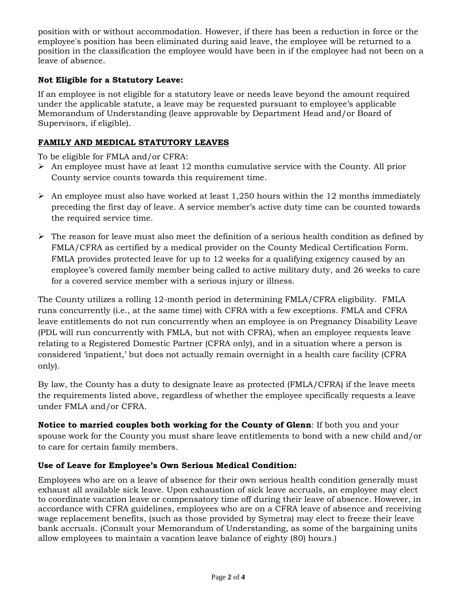position with or without accommodation. However, if there has been a reduction in force or the employee's position has been eliminated during said leave, the employee will be returned to a position in the classification the employee would have been in if the employee had not been on a leave of absence.

## **Not Eligible for a Statutory Leave:**

If an employee is not eligible for a statutory leave or needs leave beyond the amount required under the applicable statute, a leave may be requested pursuant to employee's applicable Memorandum of Understanding (leave approvable by Department Head and/or Board of Supervisors, if eligible).

## **FAMILY AND MEDICAL STATUTORY LEAVES**

To be eligible for FMLA and/or CFRA:

- $\triangleright$  An employee must have at least 12 months cumulative service with the County. All prior County service counts towards this requirement time.
- $\triangleright$  An employee must also have worked at least 1,250 hours within the 12 months immediately preceding the first day of leave. A service member's active duty time can be counted towards the required service time.
- $\triangleright$  The reason for leave must also meet the definition of a serious health condition as defined by FMLA/CFRA as certified by a medical provider on the County Medical Certification Form. FMLA provides protected leave for up to 12 weeks for a qualifying exigency caused by an employee's covered family member being called to active military duty, and 26 weeks to care for a covered service member with a serious injury or illness.

The County utilizes a rolling 12-month period in determining FMLA/CFRA eligibility. FMLA runs concurrently (i.e., at the same time) with CFRA with a few exceptions. FMLA and CFRA leave entitlements do not run concurrently when an employee is on Pregnancy Disability Leave (PDL will run concurrently with FMLA, but not with CFRA), when an employee requests leave relating to a Registered Domestic Partner (CFRA only), and in a situation where a person is considered 'inpatient,' but does not actually remain overnight in a health care facility (CFRA only).

By law, the County has a duty to designate leave as protected (FMLA/CFRA) if the leave meets the requirements listed above, regardless of whether the employee specifically requests a leave under FMLA and/or CFRA.

**Notice to married couples both working for the County of Glenn**: If both you and your spouse work for the County you must share leave entitlements to bond with a new child and/or to care for certain family members.

## **Use of Leave for Employee's Own Serious Medical Condition:**

Employees who are on a leave of absence for their own serious health condition generally must exhaust all available sick leave. Upon exhaustion of sick leave accruals, an employee may elect to coordinate vacation leave or compensatory time off during their leave of absence. However, in accordance with CFRA guidelines, employees who are on a CFRA leave of absence and receiving wage replacement benefits, (such as those provided by Symetra) may elect to freeze their leave bank accruals. (Consult your Memorandum of Understanding, as some of the bargaining units allow employees to maintain a vacation leave balance of eighty (80) hours.)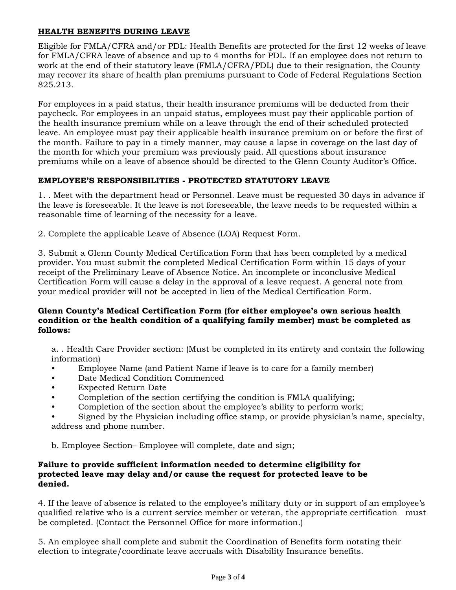#### **HEALTH BENEFITS DURING LEAVE**

Eligible for FMLA/CFRA and/or PDL: Health Benefits are protected for the first 12 weeks of leave for FMLA/CFRA leave of absence and up to 4 months for PDL. If an employee does not return to work at the end of their statutory leave (FMLA/CFRA/PDL) due to their resignation, the County may recover its share of health plan premiums pursuant to Code of Federal Regulations Section 825.213.

For employees in a paid status, their health insurance premiums will be deducted from their paycheck. For employees in an unpaid status, employees must pay their applicable portion of the health insurance premium while on a leave through the end of their scheduled protected leave. An employee must pay their applicable health insurance premium on or before the first of the month. Failure to pay in a timely manner, may cause a lapse in coverage on the last day of the month for which your premium was previously paid. All questions about insurance premiums while on a leave of absence should be directed to the Glenn County Auditor's Office.

#### **EMPLOYEE'S RESPONSIBILITIES - PROTECTED STATUTORY LEAVE**

1. . Meet with the department head or Personnel. Leave must be requested 30 days in advance if the leave is foreseeable. It the leave is not foreseeable, the leave needs to be requested within a reasonable time of learning of the necessity for a leave.

2. Complete the applicable Leave of Absence (LOA) Request Form.

3. Submit a Glenn County Medical Certification Form that has been completed by a medical provider. You must submit the completed Medical Certification Form within 15 days of your receipt of the Preliminary Leave of Absence Notice. An incomplete or inconclusive Medical Certification Form will cause a delay in the approval of a leave request. A general note from your medical provider will not be accepted in lieu of the Medical Certification Form.

#### **Glenn County's Medical Certification Form (for either employee's own serious health condition or the health condition of a qualifying family member) must be completed as follows:**

a. . Health Care Provider section: (Must be completed in its entirety and contain the following information)

- Employee Name (and Patient Name if leave is to care for a family member)
- Date Medical Condition Commenced
- Expected Return Date
- Completion of the section certifying the condition is FMLA qualifying;
- Completion of the section about the employee's ability to perform work;

• Signed by the Physician including office stamp, or provide physician's name, specialty, address and phone number.

b. Employee Section– Employee will complete, date and sign;

#### **Failure to provide sufficient information needed to determine eligibility for protected leave may delay and/or cause the request for protected leave to be denied.**

4. If the leave of absence is related to the employee's military duty or in support of an employee's qualified relative who is a current service member or veteran, the appropriate certification must be completed. (Contact the Personnel Office for more information.)

5. An employee shall complete and submit the Coordination of Benefits form notating their election to integrate/coordinate leave accruals with Disability Insurance benefits.